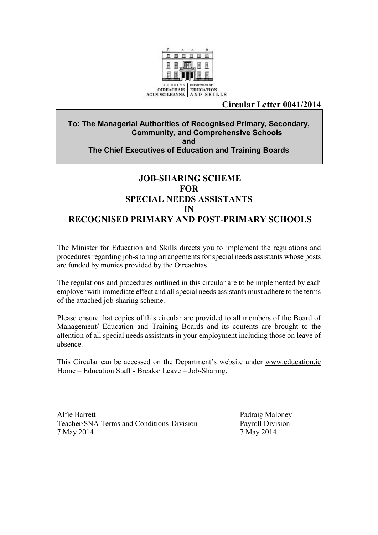

# **Circular Letter 0041/2014**

#### **To: The Managerial Authorities of Recognised Primary, Secondary, Community, and Comprehensive Schools and The Chief Executives of Education and Training Boards**

# **JOB-SHARING SCHEME FOR SPECIAL NEEDS ASSISTANTS IN RECOGNISED PRIMARY AND POST-PRIMARY SCHOOLS**

The Minister for Education and Skills directs you to implement the regulations and procedures regarding job-sharing arrangements for special needs assistants whose posts are funded by monies provided by the Oireachtas.

The regulations and procedures outlined in this circular are to be implemented by each employer with immediate effect and all special needs assistants must adhere to the terms of the attached job-sharing scheme.

Please ensure that copies of this circular are provided to all members of the Board of Management/ Education and Training Boards and its contents are brought to the attention of all special needs assistants in your employment including those on leave of absence.

This Circular can be accessed on the Department's website under [www.education.ie](http://www.education.ie/) Home – Education Staff - Breaks/ Leave – Job-Sharing.

Alfie Barrett Padraig Maloney Teacher/SNA Terms and Conditions Division Payroll Division 7 May 2014 7 May 2014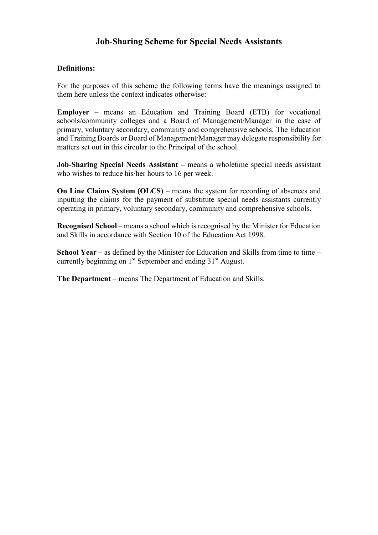# **Job-Sharing Scheme for Special Needs Assistants**

#### **Definitions:**

For the purposes of this scheme the following terms have the meanings assigned to them here unless the context indicates otherwise:

**Employer** – means an Education and Training Board (ETB) for vocational schools/community colleges and a Board of Management/Manager in the case of primary, voluntary secondary, community and comprehensive schools. The Education and Training Boards or Board of Management/Manager may delegate responsibility for matters set out in this circular to the Principal of the school.

**Job-Sharing Special Needs Assistant –** means a wholetime special needs assistant who wishes to reduce his/her hours to 16 per week.

**On Line Claims System (OLCS)** – means the system for recording of absences and inputting the claims for the payment of substitute special needs assistants currently operating in primary, voluntary secondary, community and comprehensive schools.

**Recognised School** – means a school which is recognised by the Minister for Education and Skills in accordance with Section 10 of the Education Act 1998.

**School Year –** as defined by the Minister for Education and Skills from time to time – currently beginning on  $1<sup>st</sup>$  September and ending  $31<sup>st</sup>$  August.

**The Department** – means The Department of Education and Skills.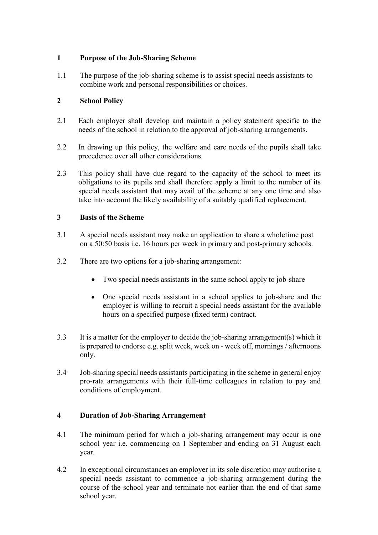# **1 Purpose of the Job-Sharing Scheme**

1.1 The purpose of the job-sharing scheme is to assist special needs assistants to combine work and personal responsibilities or choices.

# **2 School Policy**

- 2.1 Each employer shall develop and maintain a policy statement specific to the needs of the school in relation to the approval of job-sharing arrangements.
- 2.2 In drawing up this policy, the welfare and care needs of the pupils shall take precedence over all other considerations.
- 2.3 This policy shall have due regard to the capacity of the school to meet its obligations to its pupils and shall therefore apply a limit to the number of its special needs assistant that may avail of the scheme at any one time and also take into account the likely availability of a suitably qualified replacement.

# **3 Basis of the Scheme**

- 3.1 A special needs assistant may make an application to share a wholetime post on a 50:50 basis i.e. 16 hours per week in primary and post-primary schools.
- 3.2 There are two options for a job-sharing arrangement:
	- Two special needs assistants in the same school apply to job-share
	- One special needs assistant in a school applies to job-share and the employer is willing to recruit a special needs assistant for the available hours on a specified purpose (fixed term) contract.
- 3.3 It is a matter for the employer to decide the job-sharing arrangement(s) which it is prepared to endorse e.g. split week, week on - week off, mornings / afternoons only.
- 3.4 Job-sharing special needs assistants participating in the scheme in general enjoy pro-rata arrangements with their full-time colleagues in relation to pay and conditions of employment.

#### **4 Duration of Job-Sharing Arrangement**

- 4.1 The minimum period for which a job-sharing arrangement may occur is one school year i.e. commencing on 1 September and ending on 31 August each year.
- 4.2 In exceptional circumstances an employer in its sole discretion may authorise a special needs assistant to commence a job-sharing arrangement during the course of the school year and terminate not earlier than the end of that same school year.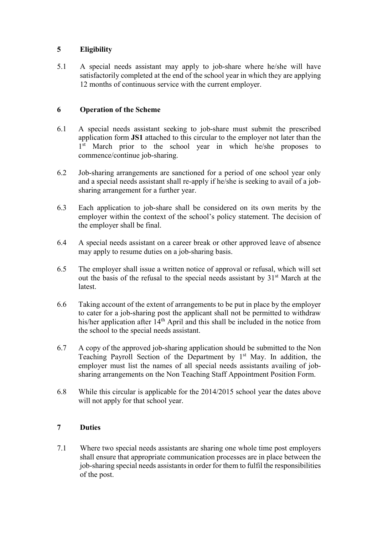# **5 Eligibility**

5.1 A special needs assistant may apply to job-share where he/she will have satisfactorily completed at the end of the school year in which they are applying 12 months of continuous service with the current employer.

# **6 Operation of the Scheme**

- 6.1 A special needs assistant seeking to job-share must submit the prescribed application form **JS1** attached to this circular to the employer not later than the 1<sup>st</sup> March prior to the school year in which he/she proposes to commence/continue job-sharing.
- 6.2 Job-sharing arrangements are sanctioned for a period of one school year only and a special needs assistant shall re-apply if he/she is seeking to avail of a jobsharing arrangement for a further year.
- 6.3 Each application to job-share shall be considered on its own merits by the employer within the context of the school's policy statement. The decision of the employer shall be final.
- 6.4 A special needs assistant on a career break or other approved leave of absence may apply to resume duties on a job-sharing basis.
- 6.5 The employer shall issue a written notice of approval or refusal, which will set out the basis of the refusal to the special needs assistant by 31<sup>st</sup> March at the latest.
- 6.6 Taking account of the extent of arrangements to be put in place by the employer to cater for a job-sharing post the applicant shall not be permitted to withdraw his/her application after 14<sup>th</sup> April and this shall be included in the notice from the school to the special needs assistant.
- 6.7 A copy of the approved job-sharing application should be submitted to the Non Teaching Payroll Section of the Department by  $1<sup>st</sup>$  May. In addition, the employer must list the names of all special needs assistants availing of jobsharing arrangements on the Non Teaching Staff Appointment Position Form.
- 6.8 While this circular is applicable for the 2014/2015 school year the dates above will not apply for that school year.

# **7 Duties**

7.1 Where two special needs assistants are sharing one whole time post employers shall ensure that appropriate communication processes are in place between the job-sharing special needs assistants in order for them to fulfil the responsibilities of the post.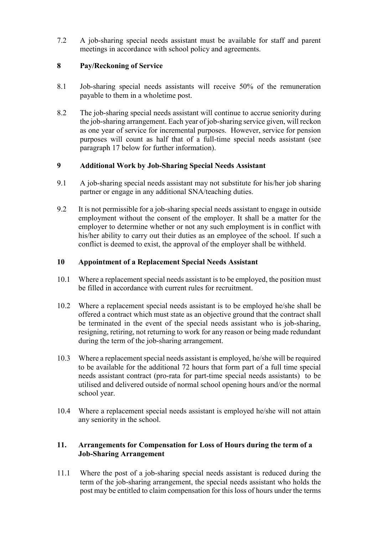7.2 A job-sharing special needs assistant must be available for staff and parent meetings in accordance with school policy and agreements.

# **8 Pay/Reckoning of Service**

- 8.1 Job-sharing special needs assistants will receive 50% of the remuneration payable to them in a wholetime post.
- 8.2 The job-sharing special needs assistant will continue to accrue seniority during the job-sharing arrangement. Each year of job-sharing service given, will reckon as one year of service for incremental purposes. However, service for pension purposes will count as half that of a full-time special needs assistant (see paragraph 17 below for further information).

# **9 Additional Work by Job-Sharing Special Needs Assistant**

- 9.1 A job-sharing special needs assistant may not substitute for his/her job sharing partner or engage in any additional SNA/teaching duties.
- 9.2 It is not permissible for a job-sharing special needs assistant to engage in outside employment without the consent of the employer. It shall be a matter for the employer to determine whether or not any such employment is in conflict with his/her ability to carry out their duties as an employee of the school. If such a conflict is deemed to exist, the approval of the employer shall be withheld.

#### **10 Appointment of a Replacement Special Needs Assistant**

- 10.1 Where a replacement special needs assistant is to be employed, the position must be filled in accordance with current rules for recruitment.
- 10.2 Where a replacement special needs assistant is to be employed he/she shall be offered a contract which must state as an objective ground that the contract shall be terminated in the event of the special needs assistant who is job-sharing, resigning, retiring, not returning to work for any reason or being made redundant during the term of the job-sharing arrangement.
- 10.3 Where a replacement special needs assistant is employed, he/she will be required to be available for the additional 72 hours that form part of a full time special needs assistant contract (pro-rata for part-time special needs assistants) to be utilised and delivered outside of normal school opening hours and/or the normal school year.
- 10.4 Where a replacement special needs assistant is employed he/she will not attain any seniority in the school.

#### **11. Arrangements for Compensation for Loss of Hours during the term of a Job-Sharing Arrangement**

11.1 Where the post of a job-sharing special needs assistant is reduced during the term of the job-sharing arrangement, the special needs assistant who holds the post may be entitled to claim compensation for this loss of hours under the terms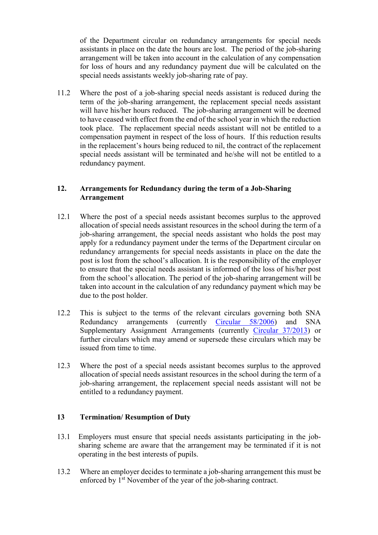of the Department circular on redundancy arrangements for special needs assistants in place on the date the hours are lost. The period of the job-sharing arrangement will be taken into account in the calculation of any compensation for loss of hours and any redundancy payment due will be calculated on the special needs assistants weekly job-sharing rate of pay.

11.2 Where the post of a job-sharing special needs assistant is reduced during the term of the job-sharing arrangement, the replacement special needs assistant will have his/her hours reduced. The job-sharing arrangement will be deemed to have ceased with effect from the end of the school year in which the reduction took place. The replacement special needs assistant will not be entitled to a compensation payment in respect of the loss of hours. If this reduction results in the replacement's hours being reduced to nil, the contract of the replacement special needs assistant will be terminated and he/she will not be entitled to a redundancy payment.

#### **12. Arrangements for Redundancy during the term of a Job-Sharing Arrangement**

- 12.1 Where the post of a special needs assistant becomes surplus to the approved allocation of special needs assistant resources in the school during the term of a job-sharing arrangement, the special needs assistant who holds the post may apply for a redundancy payment under the terms of the Department circular on redundancy arrangements for special needs assistants in place on the date the post is lost from the school's allocation. It is the responsibility of the employer to ensure that the special needs assistant is informed of the loss of his/her post from the school's allocation. The period of the job-sharing arrangement will be taken into account in the calculation of any redundancy payment which may be due to the post holder.
- 12.2 This is subject to the terms of the relevant circulars governing both SNA Redundancy arrangements (currently [Circular 58/2006\)](http://www.education.ie/en/Circulars-and-Forms/Active-Circulars/cl0058_2006.doc) and SNA Supplementary Assignment Arrangements (currently [Circular 37/2013\)](http://www.education.ie/en/Circulars-and-Forms/Active-Circulars/cl0037_2013.pdf) or further circulars which may amend or supersede these circulars which may be issued from time to time.
- 12.3 Where the post of a special needs assistant becomes surplus to the approved allocation of special needs assistant resources in the school during the term of a job-sharing arrangement, the replacement special needs assistant will not be entitled to a redundancy payment.

#### **13 Termination/ Resumption of Duty**

- 13.1 Employers must ensure that special needs assistants participating in the jobsharing scheme are aware that the arrangement may be terminated if it is not operating in the best interests of pupils.
- 13.2 Where an employer decides to terminate a job-sharing arrangement this must be enforced by 1<sup>st</sup> November of the year of the job-sharing contract.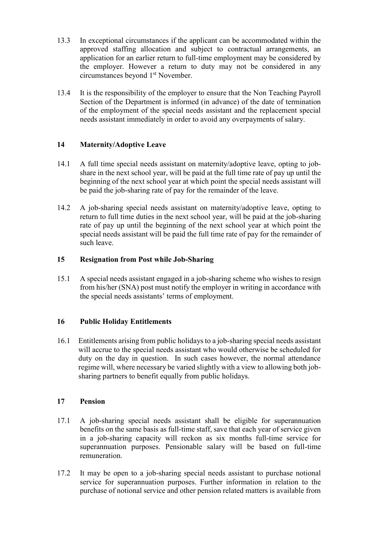- 13.3 In exceptional circumstances if the applicant can be accommodated within the approved staffing allocation and subject to contractual arrangements, an application for an earlier return to full-time employment may be considered by the employer. However a return to duty may not be considered in any circumstances beyond 1st November.
- 13.4 It is the responsibility of the employer to ensure that the Non Teaching Payroll Section of the Department is informed (in advance) of the date of termination of the employment of the special needs assistant and the replacement special needs assistant immediately in order to avoid any overpayments of salary.

#### **14 Maternity/Adoptive Leave**

- 14.1 A full time special needs assistant on maternity/adoptive leave, opting to jobshare in the next school year, will be paid at the full time rate of pay up until the beginning of the next school year at which point the special needs assistant will be paid the job-sharing rate of pay for the remainder of the leave.
- 14.2 A job-sharing special needs assistant on maternity/adoptive leave, opting to return to full time duties in the next school year, will be paid at the job-sharing rate of pay up until the beginning of the next school year at which point the special needs assistant will be paid the full time rate of pay for the remainder of such leave.

#### **15 Resignation from Post while Job-Sharing**

15.1 A special needs assistant engaged in a job-sharing scheme who wishes to resign from his/her (SNA) post must notify the employer in writing in accordance with the special needs assistants' terms of employment.

# **16 Public Holiday Entitlements**

16.1 Entitlements arising from public holidays to a job-sharing special needs assistant will accrue to the special needs assistant who would otherwise be scheduled for duty on the day in question. In such cases however, the normal attendance regime will, where necessary be varied slightly with a view to allowing both jobsharing partners to benefit equally from public holidays.

#### **17 Pension**

- 17.1 A job-sharing special needs assistant shall be eligible for superannuation benefits on the same basis as full-time staff, save that each year of service given in a job-sharing capacity will reckon as six months full-time service for superannuation purposes. Pensionable salary will be based on full-time remuneration.
- 17.2 It may be open to a job-sharing special needs assistant to purchase notional service for superannuation purposes. Further information in relation to the purchase of notional service and other pension related matters is available from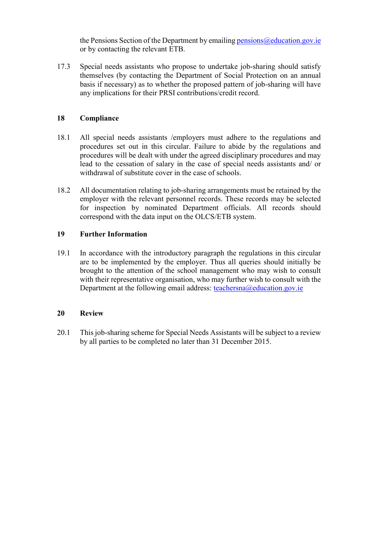the Pensions Section of the Department by emailing pensions  $@$  education.gov.ie or by contacting the relevant ETB.

17.3 Special needs assistants who propose to undertake job-sharing should satisfy themselves (by contacting the Department of Social Protection on an annual basis if necessary) as to whether the proposed pattern of job-sharing will have any implications for their PRSI contributions/credit record.

# **18 Compliance**

- 18.1 All special needs assistants /employers must adhere to the regulations and procedures set out in this circular. Failure to abide by the regulations and procedures will be dealt with under the agreed disciplinary procedures and may lead to the cessation of salary in the case of special needs assistants and/ or withdrawal of substitute cover in the case of schools.
- 18.2 All documentation relating to job-sharing arrangements must be retained by the employer with the relevant personnel records. These records may be selected for inspection by nominated Department officials. All records should correspond with the data input on the OLCS/ETB system.

#### **19 Further Information**

19.1 In accordance with the introductory paragraph the regulations in this circular are to be implemented by the employer. Thus all queries should initially be brought to the attention of the school management who may wish to consult with their representative organisation, who may further wish to consult with the Department at the following email address: [teachersna@education.gov.ie](mailto:teachersna@education.gov.ie)

#### **20 Review**

20.1 This job-sharing scheme for Special Needs Assistants will be subject to a review by all parties to be completed no later than 31 December 2015.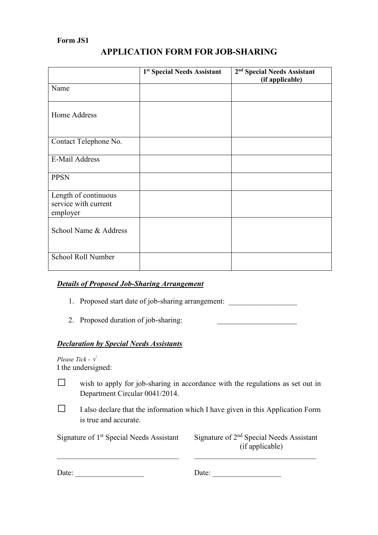|                                                          | 1 <sup>st</sup> Special Needs Assistant | 2 <sup>nd</sup> Special Needs Assistant<br>(if applicable) |
|----------------------------------------------------------|-----------------------------------------|------------------------------------------------------------|
| Name                                                     |                                         |                                                            |
| Home Address                                             |                                         |                                                            |
| Contact Telephone No.                                    |                                         |                                                            |
| E-Mail Address                                           |                                         |                                                            |
| <b>PPSN</b>                                              |                                         |                                                            |
| Length of continuous<br>service with current<br>employer |                                         |                                                            |
| School Name & Address                                    |                                         |                                                            |
| School Roll Number                                       |                                         |                                                            |

# **APPLICATION FORM FOR JOB-SHARING**

#### *Details of Proposed Job-Sharing Arrangement*

- 1. Proposed start date of job-sharing arrangement: \_\_\_\_\_\_\_\_\_\_\_\_\_\_\_\_\_\_\_\_\_\_\_\_\_\_\_\_\_
- 2. Proposed duration of job-sharing:

#### *Declaration by Special Needs Assistants*

*Please Tick -* I the undersigned:

- **□** wish to apply for job-sharing in accordance with the regulations as set out in Department Circular 0041/2014.
- **□** I also declare that the information which I have given in this Application Form is true and accurate.

 $\_$  , and the state of the state of the state of the state of the state of the state of the state of the state of the state of the state of the state of the state of the state of the state of the state of the state of the

Signature of 1<sup>st</sup> Special Needs Assistant Signature of 2<sup>nd</sup> Special Needs Assistant (if applicable)

| Date: |  |
|-------|--|
|-------|--|

Date: \_\_\_\_\_\_\_\_\_\_\_\_\_\_\_\_\_\_ Date: \_\_\_\_\_\_\_\_\_\_\_\_\_\_\_\_\_\_